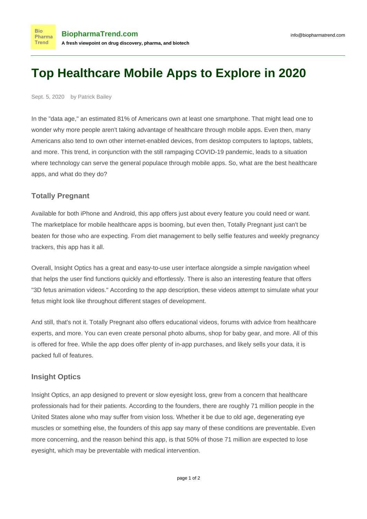# **Top Healthcare Mobile Apps to Explore in 2020**

Sept. 5, 2020 by Patrick Bailey

**Bio** 

**Trend** 

In the "data age," an estimated [81% of Americans](https://www.pewresearch.org/internet/fact-sheet/mobile/) own at least one smartphone. That might lead one to wonder why more people aren't taking advantage of healthcare through mobile apps. Even then, many Americans also tend to own other internet-enabled devices, from desktop computers to laptops, tablets, and more. This trend, in conjunction with the still rampaging COVID-19 pandemic, leads to a situation where technology can serve the general populace through mobile apps. So, what are the best healthcare apps, and what do they do?

## **Totally Pregnant**

Available for both iPhone and Android, this app offers just about every feature you could need or want. The marketplace for mobile healthcare apps is booming, but even then, Totally Pregnant just can't be beaten for those who are expecting. From diet management to belly selfie features and weekly pregnancy trackers, this app has it all.

Overall, Insight Optics has a great and easy-to-use user interface alongside a simple navigation wheel that helps the user find functions quickly and effortlessly. There is also an interesting feature that offers "3D fetus animation videos." According to the [app description,](https://play.google.com/store/apps/details?id=com.totallypregnant.android&hl=en) these videos attempt to simulate what your fetus might look like throughout different stages of development.

And still, that's not it. Totally Pregnant also offers educational videos, forums with advice from healthcare experts, and more. You can even create personal photo albums, shop for baby gear, and more. All of this is offered for free. While the app does offer plenty of in-app purchases, and likely sells your data, it is packed full of features.

## **Insight Optics**

Insight Optics, an app designed to prevent or slow eyesight loss, grew from a concern that healthcare professionals had for their patients. According to the founders, there are roughly 71 million people in the United States alone who may suffer from vision loss. Whether it be due to old age, degenerating eye muscles or something else, the [founders of this app](http://www.telemedmag.com/insight-optics/) say many of these conditions are preventable. Even more concerning, and the reason behind this app, is that 50% of those 71 million are expected to lose eyesight, which may be preventable with medical intervention.